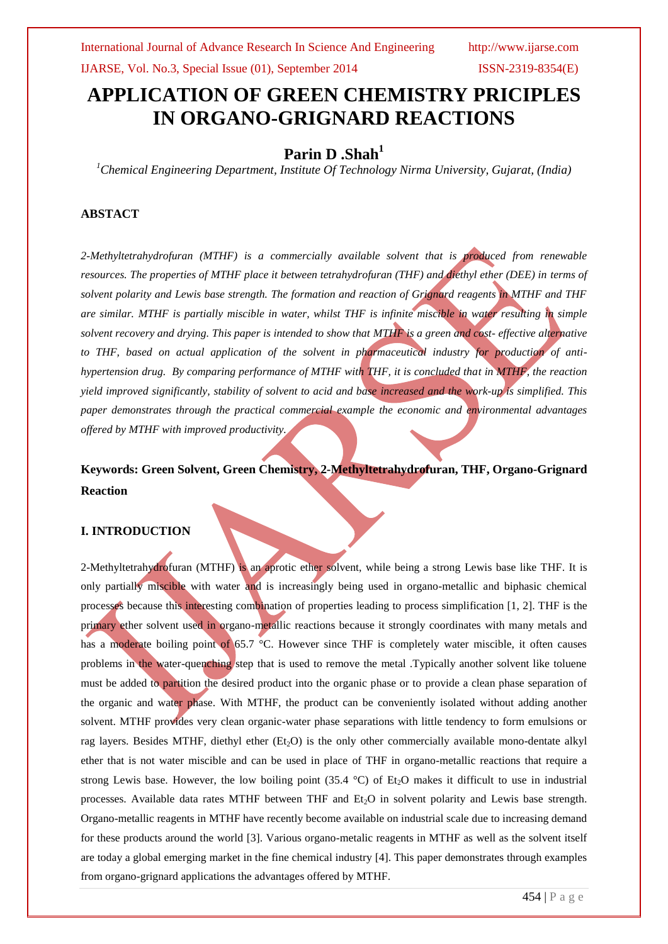# **APPLICATION OF GREEN CHEMISTRY PRICIPLES IN ORGANO-GRIGNARD REACTIONS**

## **Parin D .Shah<sup>1</sup>**

*<sup>1</sup>Chemical Engineering Department, Institute Of Technology Nirma University, Gujarat, (India)*

## **ABSTACT**

*2-Methyltetrahydrofuran (MTHF) is a commercially available solvent that is produced from renewable resources. The properties of MTHF place it between tetrahydrofuran (THF) and diethyl ether (DEE) in terms of solvent polarity and Lewis base strength. The formation and reaction of Grignard reagents in MTHF and THF are similar. MTHF is partially miscible in water, whilst THF is infinite miscible in water resulting in simple solvent recovery and drying. This paper is intended to show that MTHF is a green and cost- effective alternative to THF, based on actual application of the solvent in pharmaceutical industry for production of antihypertension drug. By comparing performance of MTHF with THF, it is concluded that in MTHF, the reaction yield improved significantly, stability of solvent to acid and base increased and the work-up is simplified. This paper demonstrates through the practical commercial example the economic and environmental advantages offered by MTHF with improved productivity.* 

## **Keywords: Green Solvent, Green Chemistry, 2-Methyltetrahydrofuran, THF, Organo-Grignard Reaction**

### **I. INTRODUCTION**

2-Methyltetrahydrofuran (MTHF) is an aprotic ether solvent, while being a strong Lewis base like THF. It is only partially miscible with water and is increasingly being used in organo-metallic and biphasic chemical processes because this interesting combination of properties leading to process simplification [1, 2]. THF is the primary ether solvent used in organo-metallic reactions because it strongly coordinates with many metals and has a moderate boiling point of 65.7 °C. However since THF is completely water miscible, it often causes problems in the water-quenching step that is used to remove the metal .Typically another solvent like toluene must be added to partition the desired product into the organic phase or to provide a clean phase separation of the organic and water phase. With MTHF, the product can be conveniently isolated without adding another solvent. MTHF provides very clean organic-water phase separations with little tendency to form emulsions or rag layers. Besides MTHF, diethyl ether (Et<sub>2</sub>O) is the only other commercially available mono-dentate alkyl ether that is not water miscible and can be used in place of THF in organo-metallic reactions that require a strong Lewis base. However, the low boiling point  $(35.4 \text{ °C})$  of Et<sub>2</sub>O makes it difficult to use in industrial processes. Available data rates MTHF between THF and  $Et<sub>2</sub>O$  in solvent polarity and Lewis base strength. Organo-metallic reagents in MTHF have recently become available on industrial scale due to increasing demand for these products around the world [3]. Various organo-metalic reagents in MTHF as well as the solvent itself are today a global emerging market in the fine chemical industry [4]. This paper demonstrates through examples from organo-grignard applications the advantages offered by MTHF.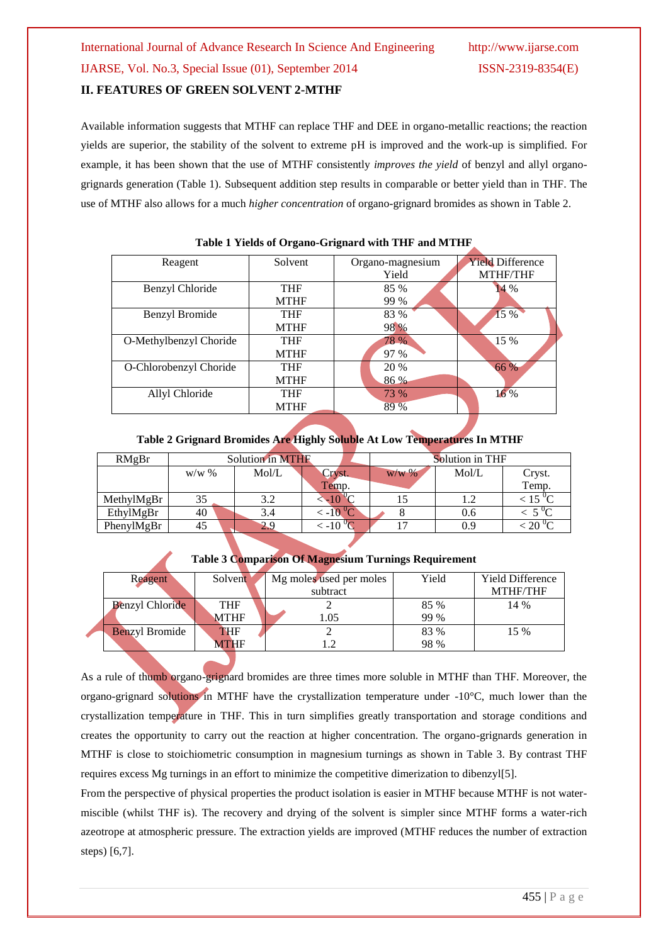# International Journal of Advance Research In Science And Engineering http://www.ijarse.com IJARSE, Vol. No.3, Special Issue (01), September 2014 ISSN-2319-8354(E)

### **II. FEATURES OF GREEN SOLVENT 2-MTHF**

Available information suggests that MTHF can replace THF and DEE in organo-metallic reactions; the reaction yields are superior, the stability of the solvent to extreme pH is improved and the work-up is simplified. For example, it has been shown that the use of MTHF consistently *improves the yield* of benzyl and allyl organogrignards generation (Table 1). Subsequent addition step results in comparable or better yield than in THF. The use of MTHF also allows for a much *higher concentration* of organo-grignard bromides as shown in Table 2.

| Reagent                | Solvent     | Organo-magnesium | <b>Yield Difference</b> |
|------------------------|-------------|------------------|-------------------------|
|                        |             | Yield            | <b>MTHF/THF</b>         |
| Benzyl Chloride        | <b>THF</b>  | 85 %             | 14 %                    |
|                        | <b>MTHF</b> | 99 %             |                         |
| Benzyl Bromide         | <b>THF</b>  | 83 %             | 15 %                    |
|                        | <b>MTHF</b> | 98 %             |                         |
| O-Methylbenzyl Choride | <b>THF</b>  | 78 %             | 15 %                    |
|                        | <b>MTHF</b> | 97 %             |                         |
| O-Chlorobenzyl Choride | <b>THF</b>  | 20 %             | 66 %                    |
|                        | <b>MTHF</b> | 86 %             |                         |
| Allyl Chloride         | <b>THF</b>  | 73 %             | $16\%$                  |
|                        | <b>MTHF</b> | 89 %             |                         |
|                        |             |                  |                         |

**Table 1 Yields of Organo-Grignard with THF and MTHF** 

### **Table 2 Grignard Bromides Are Highly Soluble At Low Temperatures In MTHF**

| RMgBr      | Solution in MTHF |       |                    | Solution in THF |       |                     |
|------------|------------------|-------|--------------------|-----------------|-------|---------------------|
|            | $W/W$ %          | Mol/L | Cryst.             | $W/W$ %         | Mol/L | Cryst.              |
|            |                  |       | Temp.              |                 |       | Temp.               |
| MethylMgBr | 35               | 3.2   | $-100$             |                 |       | $\sim 15~^{\circ}C$ |
| EthylMgBr  | 40               | 3.4   | $\frac{10^{6}}{2}$ |                 | 0.6   | $5\,\mathrm{V}$     |
| PhenylMgBr | 45               | 2.9   | $\leq -10^{0}$     |                 | 0.9   |                     |

|  | Reagent                | Solvent     | Mg moles used per moles | Yield | <b>Yield Difference</b> |
|--|------------------------|-------------|-------------------------|-------|-------------------------|
|  |                        |             | subtract                |       | <b>MTHF/THF</b>         |
|  | <b>Benzyl Chloride</b> | <b>THF</b>  |                         | 85 %  | 14 %                    |
|  |                        | <b>MTHF</b> | 1.05                    | 99 %  |                         |
|  | <b>Benzyl Bromide</b>  | <b>THF</b>  |                         | 83 %  | 15 %                    |
|  |                        | MTHF        |                         | 98 %  |                         |

#### **Table 3 Comparison Of Magnesium Turnings Requirement**

As a rule of thumb organo-grignard bromides are three times more soluble in MTHF than THF. Moreover, the organo-grignard solutions in MTHF have the crystallization temperature under -10°C, much lower than the crystallization temperature in THF. This in turn simplifies greatly transportation and storage conditions and creates the opportunity to carry out the reaction at higher concentration. The organo-grignards generation in MTHF is close to stoichiometric consumption in magnesium turnings as shown in Table 3. By contrast THF requires excess Mg turnings in an effort to minimize the competitive dimerization to dibenzyl[5].

From the perspective of physical properties the product isolation is easier in MTHF because MTHF is not watermiscible (whilst THF is). The recovery and drying of the solvent is simpler since MTHF forms a water-rich azeotrope at atmospheric pressure. The extraction yields are improved (MTHF reduces the number of extraction steps) [6,7].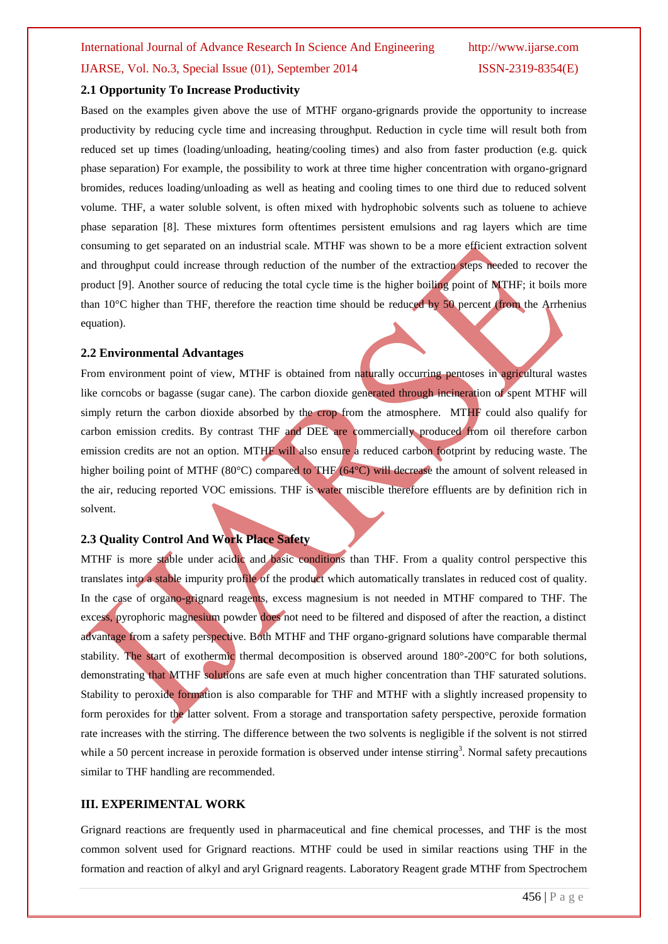#### **2.1 Opportunity To Increase Productivity**

Based on the examples given above the use of MTHF organo-grignards provide the opportunity to increase productivity by reducing cycle time and increasing throughput. Reduction in cycle time will result both from reduced set up times (loading/unloading, heating/cooling times) and also from faster production (e.g. quick phase separation) For example, the possibility to work at three time higher concentration with organo-grignard bromides, reduces loading/unloading as well as heating and cooling times to one third due to reduced solvent volume. THF, a water soluble solvent, is often mixed with hydrophobic solvents such as toluene to achieve phase separation [8]. These mixtures form oftentimes persistent emulsions and rag layers which are time consuming to get separated on an industrial scale. MTHF was shown to be a more efficient extraction solvent and throughput could increase through reduction of the number of the extraction steps needed to recover the product [9]. Another source of reducing the total cycle time is the higher boiling point of MTHF; it boils more than 10°C higher than THF, therefore the reaction time should be reduced by 50 percent (from the Arrhenius equation).

#### **2.2 Environmental Advantages**

From environment point of view, MTHF is obtained from naturally occurring pentoses in agricultural wastes like corncobs or bagasse (sugar cane). The carbon dioxide generated through incineration of spent MTHF will simply return the carbon dioxide absorbed by the crop from the atmosphere. MTHF could also qualify for carbon emission credits. By contrast THF and DEE are commercially produced from oil therefore carbon emission credits are not an option. MTHF will also ensure a reduced carbon footprint by reducing waste. The higher boiling point of MTHF (80°C) compared to THF (64°C) will decrease the amount of solvent released in the air, reducing reported VOC emissions. THF is water miscible therefore effluents are by definition rich in solvent.

#### **2.3 Quality Control And Work Place Safety**

MTHF is more stable under acidic and basic conditions than THF. From a quality control perspective this translates into a stable impurity profile of the product which automatically translates in reduced cost of quality. In the case of organo-grignard reagents, excess magnesium is not needed in MTHF compared to THF. The excess, pyrophoric magnesium powder does not need to be filtered and disposed of after the reaction, a distinct advantage from a safety perspective. Both MTHF and THF organo-grignard solutions have comparable thermal stability. The start of exothermic thermal decomposition is observed around 180°-200°C for both solutions, demonstrating that MTHF solutions are safe even at much higher concentration than THF saturated solutions. Stability to peroxide formation is also comparable for THF and MTHF with a slightly increased propensity to form peroxides for the latter solvent. From a storage and transportation safety perspective, peroxide formation rate increases with the stirring. The difference between the two solvents is negligible if the solvent is not stirred while a 50 percent increase in peroxide formation is observed under intense stirring<sup>3</sup>. Normal safety precautions similar to THF handling are recommended.

#### **III. EXPERIMENTAL WORK**

Grignard reactions are frequently used in pharmaceutical and fine chemical processes, and THF is the most common solvent used for Grignard reactions. MTHF could be used in similar reactions using THF in the formation and reaction of alkyl and aryl Grignard reagents. Laboratory Reagent grade MTHF from Spectrochem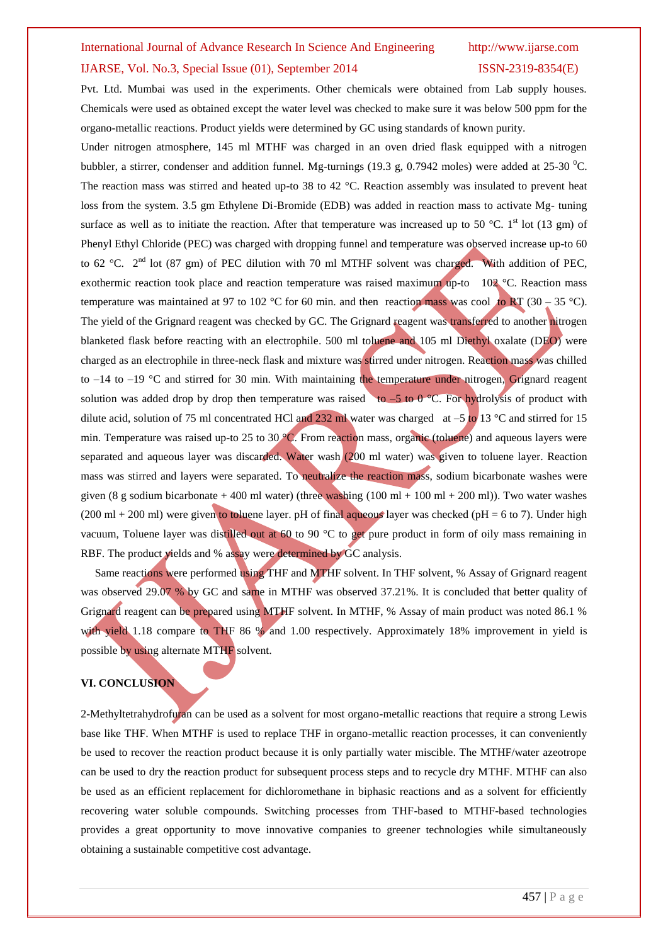# International Journal of Advance Research In Science And Engineering http://www.ijarse.com IJARSE, Vol. No.3, Special Issue (01), September 2014 ISSN-2319-8354(E)

Pvt. Ltd. Mumbai was used in the experiments. Other chemicals were obtained from Lab supply houses. Chemicals were used as obtained except the water level was checked to make sure it was below 500 ppm for the organo-metallic reactions. Product yields were determined by GC using standards of known purity.

Under nitrogen atmosphere, 145 ml MTHF was charged in an oven dried flask equipped with a nitrogen bubbler, a stirrer, condenser and addition funnel. Mg-turnings (19.3 g, 0.7942 moles) were added at 25-30 <sup>o</sup>C. The reaction mass was stirred and heated up-to 38 to 42 °C. Reaction assembly was insulated to prevent heat loss from the system. 3.5 gm Ethylene Di-Bromide (EDB) was added in reaction mass to activate Mg- tuning surface as well as to initiate the reaction. After that temperature was increased up to 50 °C. 1<sup>st</sup> lot (13 gm) of Phenyl Ethyl Chloride (PEC) was charged with dropping funnel and temperature was observed increase up-to 60 to 62 °C.  $2<sup>nd</sup>$  lot (87 gm) of PEC dilution with 70 ml MTHF solvent was charged. With addition of PEC, exothermic reaction took place and reaction temperature was raised maximum up-to 102 °C. Reaction mass temperature was maintained at 97 to 102 °C for 60 min. and then reaction mass was cool to RT (30 – 35 °C). The yield of the Grignard reagent was checked by GC. The Grignard reagent was transferred to another nitrogen blanketed flask before reacting with an electrophile. 500 ml toluene and 105 ml Diethyl oxalate (DEO) were charged as an electrophile in three-neck flask and mixture was stirred under nitrogen. Reaction mass was chilled to  $-14$  to  $-19$  °C and stirred for 30 min. With maintaining the temperature under nitrogen, Grignard reagent solution was added drop by drop then temperature was raised to  $-5$  to 0 °C. For hydrolysis of product with dilute acid, solution of 75 ml concentrated HCl and 232 ml water was charged at  $-5$  to 13 °C and stirred for 15 min. Temperature was raised up-to 25 to 30 °C. From reaction mass, organic (toluene) and aqueous layers were separated and aqueous layer was discarded. Water wash (200 ml water) was given to toluene layer. Reaction mass was stirred and layers were separated. To neutralize the reaction mass, sodium bicarbonate washes were given (8 g sodium bicarbonate + 400 ml water) (three washing  $(100 \text{ ml} + 100 \text{ ml} + 200 \text{ ml})$ ). Two water washes (200 ml + 200 ml) were given to toluene layer. pH of final aqueous layer was checked (pH = 6 to 7). Under high vacuum, Toluene layer was distilled out at 60 to 90 °C to get pure product in form of oily mass remaining in RBF. The product yields and % assay were determined by GC analysis.

 Same reactions were performed using THF and MTHF solvent. In THF solvent, % Assay of Grignard reagent was observed 29.07 % by GC and same in MTHF was observed 37.21%. It is concluded that better quality of Grignard reagent can be prepared using MTHF solvent. In MTHF, % Assay of main product was noted 86.1 % with yield 1.18 compare to THF 86 % and 1.00 respectively. Approximately 18% improvement in yield is possible by using alternate MTHF solvent.

#### **VI. CONCLUSION**

2-Methyltetrahydrofuran can be used as a solvent for most organo-metallic reactions that require a strong Lewis base like THF. When MTHF is used to replace THF in organo-metallic reaction processes, it can conveniently be used to recover the reaction product because it is only partially water miscible. The MTHF/water azeotrope can be used to dry the reaction product for subsequent process steps and to recycle dry MTHF. MTHF can also be used as an efficient replacement for dichloromethane in biphasic reactions and as a solvent for efficiently recovering water soluble compounds. Switching processes from THF-based to MTHF-based technologies provides a great opportunity to move innovative companies to greener technologies while simultaneously obtaining a sustainable competitive cost advantage.